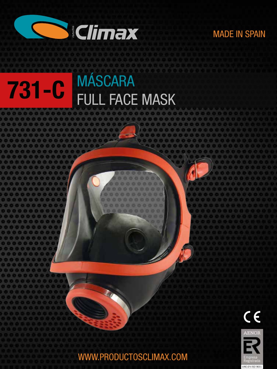

.............

 $000000000$ 

## MADE IN SPAIN

# 731-C **MÁSCARA** FULL FACE MASK



WWW.PRODUCTOSCLIMAX.COM

00000000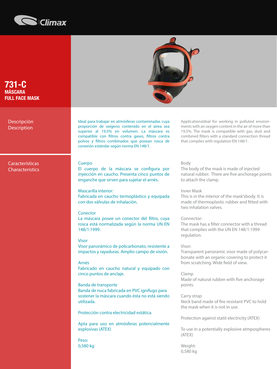

731-C **MÁSCARA** FULL FACE MASK

Descripción **Description** 

Características **Characteristics** 



MADE IN SPAIN<br>MADE IN SPAIN SPAIN SPAIN<br>COLOR Ideal para trabajar en atmósferas contaminadas cuya proporción de oxígeno contenido en el airea sea superior al 19,5% en volumen. La máscara es compatible con filtros contra gases, filtros contra polvos y filtros combinados que posean rosca de conexión estándar según norma EN 148/1.

#### Cuerpo

Características<br>
Characterístics<br>
Pantal Facial Facial Facial Facial Facial Facial Facial Facial Facial Facial Facial Facial Facial Facial Faci<br>
Pantal Facial Facial Facial Facial Facial Facial Facial Facial Facial Facial El cuerpo de la máscara se configura por inyección en caucho. Presenta cinco puntos de enganche que sirven para sujetar el arnés.

> Mascarilla interior: Fabricada en caucho termoplástico y equipada con dos válvulas de inhalación.

#### Conector

La máscara posee un conector del filtro, cuya rosca está normalizada según la norma UN EN 148/1:1999.

#### Visor

Visor panorámico de policarbonato, resistente a impactos y rayaduras. Amplio campo de visión.

#### Arnés

Fabricado en caucho natural y equipado con cinco puntos de anclaje.

Banda de transporte Banda de nuca fabricada en PVC ignífugo para sostener la máscara cuando ésta no está siendo utilizada.

Protección contra electricidad estática.

Apta para uso en atmósferas potencialmente explosivas (ATEX)

Peso: 0,580 kg ApplicationsIdeal for working in polluted environments with an oxygen content in the air of more than 19,5%. The mask is compatible with gas, dust and combined filters with a standard connection thread that complies with regulation EN 148/1.

#### Body

The body of the mask is made of injected natural rubber. There are five anchorage points to attach the clamp.

#### Inner Mask

This is in the interior of the mask'sbody. It is made of thermoplastic rubber and fitted with two inhalation valves.

#### Connector:

The mask has a filter connector with a thread that complies with the UN EN 148/1:1999 regulation.

#### Visor:

Transparent panoramic visor made of polycarbonate with an organic covering to protect it from scratching. Wide field of view.

#### Clamp

Made of natural rubber with five anchorage points.

### Carry strap

Neck band made of fire resistant PVC to hold the mask when it is not in use.

Protection against statit electricity (ATEX)

To use in a potentially explosive atmpospheres (ATEX)

Weight: 0,580 kg